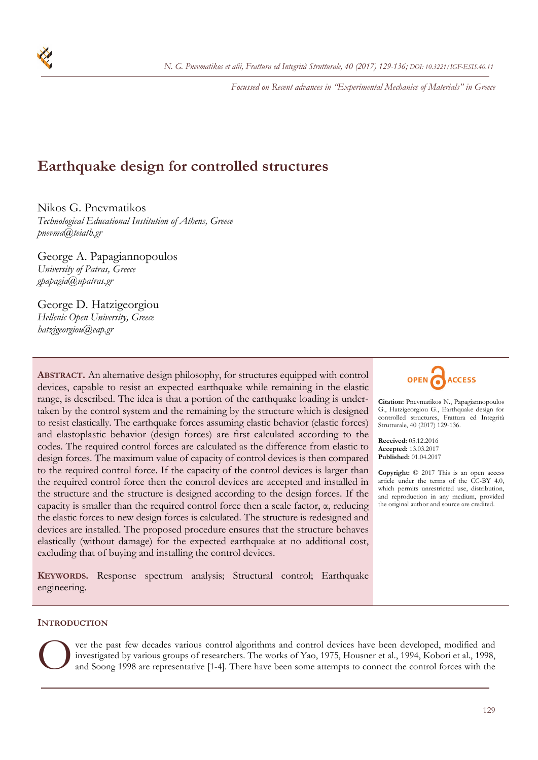*Focussed on Recent advances in "Experimental Mechanics of Materials" in Greece* 

# **Earthquake design for controlled structures**

Nikos G. Pnevmatikos

*Technological Educational Institution of Athens, Greece pnevma@teiath.gr* 

George A. Papagiannopoulos *University of Patras, Greece gpapagia@upatras.gr* 

George D. Hatzigeorgiou *Hellenic Open University, Greece hatzigeorgiou@eap.gr* 

**ABSTRACT.** An alternative design philosophy, for structures equipped with control devices, capable to resist an expected earthquake while remaining in the elastic range, is described. The idea is that a portion of the earthquake loading is undertaken by the control system and the remaining by the structure which is designed to resist elastically. The earthquake forces assuming elastic behavior (elastic forces) and elastoplastic behavior (design forces) are first calculated according to the codes. The required control forces are calculated as the difference from elastic to design forces. The maximum value of capacity of control devices is then compared to the required control force. If the capacity of the control devices is larger than the required control force then the control devices are accepted and installed in the structure and the structure is designed according to the design forces. If the capacity is smaller than the required control force then a scale factor,  $\alpha$ , reducing the elastic forces to new design forces is calculated. The structure is redesigned and devices are installed. The proposed procedure ensures that the structure behaves elastically (without damage) for the expected earthquake at no additional cost, excluding that of buying and installing the control devices.

**KEYWORDS.** Response spectrum analysis; Structural control; Earthquake engineering.



**Citation:** Pnevmatikos Ν., Papagiannopoulos G., Hatzigeorgiou G., Earthquake design for controlled structures, Frattura ed Integrità Strutturale, 40 (2017) 129-136.

**Received:** 05.12.2016 **Accepted:** 13.03.2017 **Published:** 01.04.2017

**Copyright:** © 2017 This is an open access article under the terms of the CC-BY 4.0, which permits unrestricted use, distribution, and reproduction in any medium, provided the original author and source are credited.

### **INTRODUCTION**

ver the past few decades various control algorithms and control devices have been developed, modified and investigated by various groups of researchers. The works of Yao, 1975, Housner et al., 1994, Kobori et al., 1998, and Soong 1998 are representative [1-4]. There have been some attempts to connect the control forces with th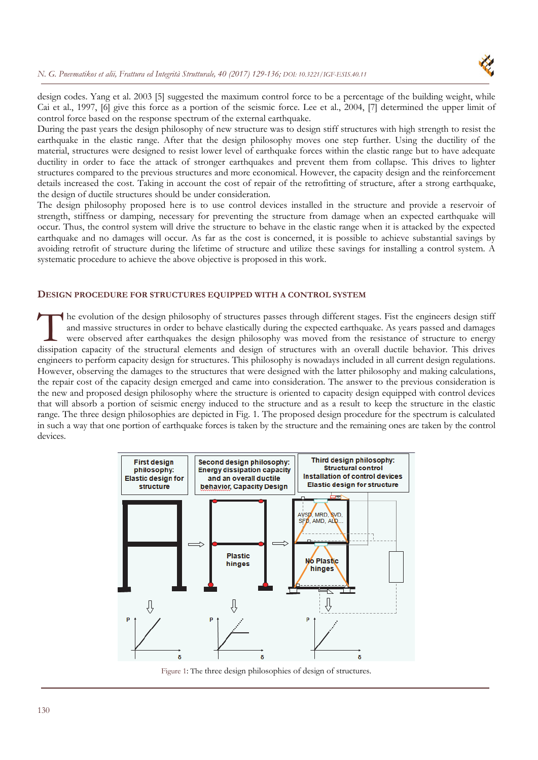

design codes. Yang et al. 2003 [5] suggested the maximum control force to be a percentage of the building weight, while Cai et al., 1997, [6] give this force as a portion of the seismic force. Lee et al., 2004, [7] determined the upper limit of control force based on the response spectrum of the external earthquake.

During the past years the design philosophy of new structure was to design stiff structures with high strength to resist the earthquake in the elastic range. After that the design philosophy moves one step further. Using the ductility of the material, structures were designed to resist lower level of earthquake forces within the elastic range but to have adequate ductility in order to face the attack of stronger earthquakes and prevent them from collapse. This drives to lighter structures compared to the previous structures and more economical. However, the capacity design and the reinforcement details increased the cost. Taking in account the cost of repair of the retrofitting of structure, after a strong earthquake, the design of ductile structures should be under consideration.

The design philosophy proposed here is to use control devices installed in the structure and provide a reservoir of strength, stiffness or damping, necessary for preventing the structure from damage when an expected earthquake will occur. Thus, the control system will drive the structure to behave in the elastic range when it is attacked by the expected earthquake and no damages will occur. As far as the cost is concerned, it is possible to achieve substantial savings by avoiding retrofit of structure during the lifetime of structure and utilize these savings for installing a control system. A systematic procedure to achieve the above objective is proposed in this work.

# **DESIGN PROCEDURE FOR STRUCTURES EQUIPPED WITH A CONTROL SYSTEM**

he evolution of the design philosophy of structures passes through different stages. Fist the engineers design stiff and massive structures in order to behave elastically during the expected earthquake. As years passed and damages were observed after earthquakes the design philosophy was moved from the resistance of structure to energy The evolution of the design philosophy of structures passes through different stages. Fist the engineers design stiff and massive structures in order to behave elastically during the expected earthquake. As years passed an engineers to perform capacity design for structures. This philosophy is nowadays included in all current design regulations. However, observing the damages to the structures that were designed with the latter philosophy and making calculations, the repair cost of the capacity design emerged and came into consideration. The answer to the previous consideration is the new and proposed design philosophy where the structure is oriented to capacity design equipped with control devices that will absorb a portion of seismic energy induced to the structure and as a result to keep the structure in the elastic range. The three design philosophies are depicted in Fig. 1. The proposed design procedure for the spectrum is calculated in such a way that one portion of earthquake forces is taken by the structure and the remaining ones are taken by the control devices.



Figure 1: The three design philosophies of design of structures.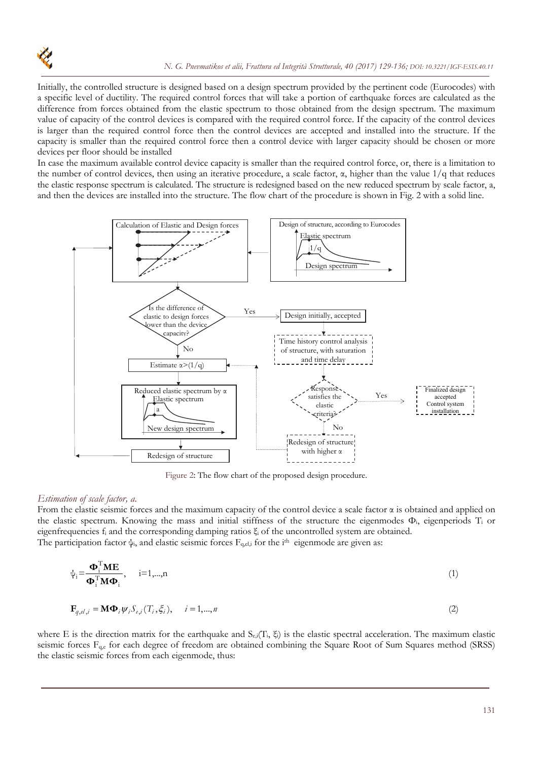

Initially, the controlled structure is designed based on a design spectrum provided by the pertinent code (Eurocodes) with a specific level of ductility. The required control forces that will take a portion of earthquake forces are calculated as the difference from forces obtained from the elastic spectrum to those obtained from the design spectrum. The maximum value of capacity of the control devices is compared with the required control force. If the capacity of the control devices is larger than the required control force then the control devices are accepted and installed into the structure. If the capacity is smaller than the required control force then a control device with larger capacity should be chosen or more devices per floor should be installed

In case the maximum available control device capacity is smaller than the required control force, or, there is a limitation to the number of control devices, then using an iterative procedure, a scale factor,  $\alpha$ , higher than the value  $1/q$  that reduces the elastic response spectrum is calculated. The structure is redesigned based on the new reduced spectrum by scale factor, a, and then the devices are installed into the structure. The flow chart of the procedure is shown in Fig. 2 with a solid line.



Figure 2: The flow chart of the proposed design procedure.

### *Estimation of scale factor, a.*

From the elastic seismic forces and the maximum capacity of the control device a scale factor  $\alpha$  is obtained and applied on the elastic spectrum. Knowing the mass and initial stiffness of the structure the eigenmodes Φi, eigenperiods Ti or eigenfrequencies  $f_i$  and the corresponding damping ratios  $\xi_i$  of the uncontrolled system are obtained. The participation factor  $\psi_i$ , and elastic seismic forces  $F_{q,el,i}$  for the i<sup>th</sup> eigenmode are given as:

$$
\psi_i = \frac{\mathbf{\Phi}_i^{\mathrm{T}} \mathbf{M} \mathbf{E}}{\mathbf{\Phi}_i^{\mathrm{T}} \mathbf{M} \mathbf{\Phi}_i}, \quad i = 1, \dots, n
$$
\n(1)

$$
\mathbf{F}_{q,el,i} = \mathbf{M} \mathbf{\Phi}_i \psi_i S_{e,i}(T_i, \xi_i), \qquad i = 1, \dots, n
$$
\n(2)

where E is the direction matrix for the earthquake and  $S_{e,i}(T_i, \xi_i)$  is the elastic spectral acceleration. The maximum elastic seismic forces F<sub>q,e</sub> for each degree of freedom are obtained combining the Square Root of Sum Squares method (SRSS) the elastic seismic forces from each eigenmode, thus: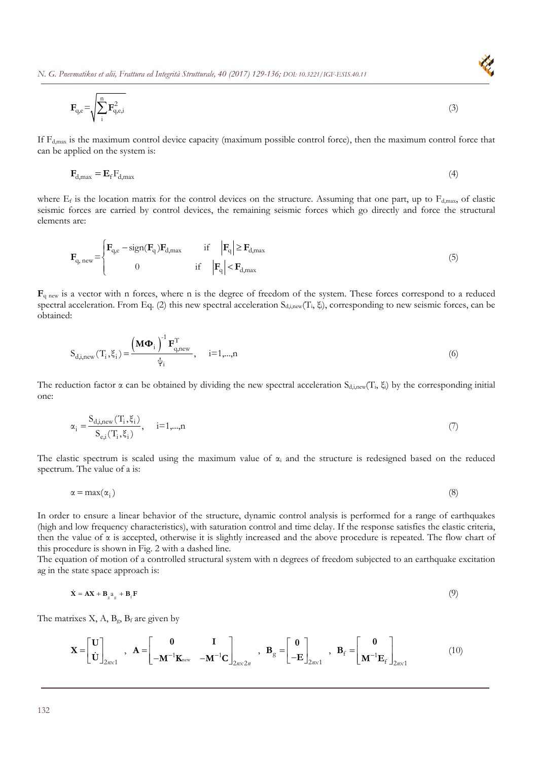*N. G. Pnevmatikos et alii, Frattura ed Integrità Strutturale, 40 (2017) 129-136; DOI: 10.3221/IGF-ESIS.40.11* 

$$
\mathbf{F}_{q,e} = \sqrt{\sum_{i}^{n} \mathbf{F}_{q,e,i}^{2}}
$$
 (3)

If  $F_{d,max}$  is the maximum control device capacity (maximum possible control force), then the maximum control force that can be applied on the system is:

$$
\mathbf{F}_{d,\text{max}} = \mathbf{E}_{\text{f}} \mathbf{F}_{d,\text{max}} \tag{4}
$$

where  $E_f$  is the location matrix for the control devices on the structure. Assuming that one part, up to  $F_{d,max}$ , of elastic seismic forces are carried by control devices, the remaining seismic forces which go directly and force the structural elements are:

$$
\mathbf{F}_{q,\text{new}} = \begin{cases} \mathbf{F}_{q,\text{e}} - \text{sign}(\mathbf{F}_{q})\mathbf{F}_{d,\text{max}} & \text{if } |\mathbf{F}_{q}| \ge \mathbf{F}_{d,\text{max}} \\ 0 & \text{if } |\mathbf{F}_{q}| < \mathbf{F}_{d,\text{max}} \end{cases}
$$
(5)

 $\mathbf{F}_{q}$  new is a vector with n forces, where n is the degree of freedom of the system. These forces correspond to a reduced spectral acceleration. From Eq. (2) this new spectral acceleration S<sub>d,i,new</sub>(T<sub>i</sub>, ξ<sub>i</sub>), corresponding to new seismic forces, can be obtained:

$$
S_{d,i,new}(T_i, \xi_i) = \frac{\left(\mathbf{M}\Phi_i\right)^{-1} \mathbf{F}_{q,new}^T}{\psi_i}, \quad i=1,...,n
$$
\n(6)

The reduction factor  $\alpha$  can be obtained by dividing the new spectral acceleration  $S_{d,i,new}(T_i, \xi)$  by the corresponding initial one:

$$
\alpha_{i} = \frac{S_{d,i,new}(T_{i}, \xi_{i})}{S_{e,i}(T_{i}, \xi_{i})}, \quad i=1,...,n
$$
\n(7)

The elastic spectrum is scaled using the maximum value of  $\alpha_i$  and the structure is redesigned based on the reduced spectrum. The value of a is:

$$
\alpha = \max(\alpha_i) \tag{8}
$$

In order to ensure a linear behavior of the structure, dynamic control analysis is performed for a range of earthquakes (high and low frequency characteristics), with saturation control and time delay. If the response satisfies the elastic criteria, then the value of α is accepted, otherwise it is slightly increased and the above procedure is repeated. The flow chart of this procedure is shown in Fig. 2 with a dashed line.

The equation of motion of a controlled structural system with n degrees of freedom subjected to an earthquake excitation ag in the state space approach is:

$$
\dot{\mathbf{X}} = \mathbf{A}\mathbf{X} + \mathbf{B}_{g^2 g} + \mathbf{B}_f \mathbf{F}
$$
 (9)

The matrixes  $X$ ,  $A$ ,  $B_g$ ,  $B_f$  are given by

$$
\mathbf{X} = \begin{bmatrix} \mathbf{U} \\ \dot{\mathbf{U}} \end{bmatrix}_{2n \times 1}, \quad \mathbf{A} = \begin{bmatrix} \mathbf{0} & \mathbf{I} \\ -\mathbf{M}^{-1} \mathbf{K}_{\text{new}} & -\mathbf{M}^{-1} \mathbf{C} \end{bmatrix}_{2n \times 2n}, \quad \mathbf{B}_{g} = \begin{bmatrix} \mathbf{0} \\ -\mathbf{E} \end{bmatrix}_{2n \times 1}, \quad \mathbf{B}_{f} = \begin{bmatrix} \mathbf{0} \\ \mathbf{M}^{-1} \mathbf{E}_{f} \end{bmatrix}_{2n \times 1} \tag{10}
$$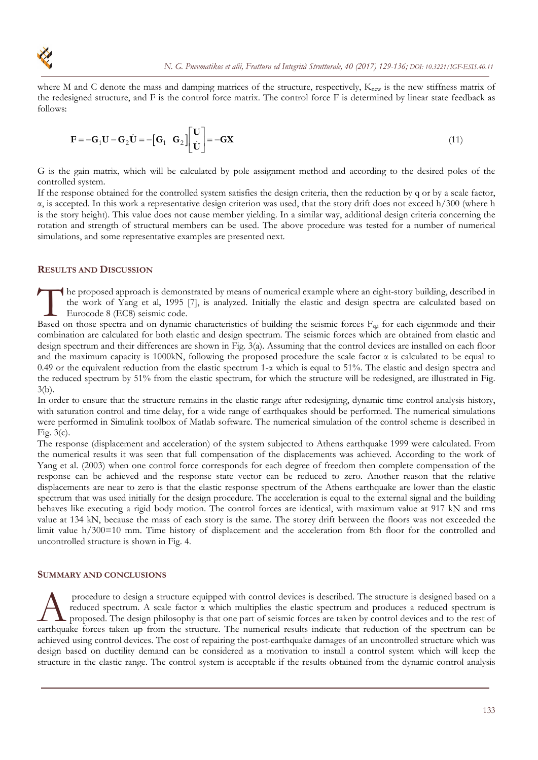where M and C denote the mass and damping matrices of the structure, respectively,  $K<sub>new</sub>$  is the new stiffness matrix of the redesigned structure, and F is the control force matrix. The control force F is determined by linear state feedback as follows:

$$
\mathbf{F} = -\mathbf{G}_1 \mathbf{U} - \mathbf{G}_2 \dot{\mathbf{U}} = -\begin{bmatrix} \mathbf{G}_1 & \mathbf{G}_2 \end{bmatrix} \begin{bmatrix} \mathbf{U} \\ \dot{\mathbf{U}} \end{bmatrix} = -\mathbf{G} \mathbf{X} \tag{11}
$$

G is the gain matrix, which will be calculated by pole assignment method and according to the desired poles of the controlled system.

If the response obtained for the controlled system satisfies the design criteria, then the reduction by q or by a scale factor,  $\alpha$ , is accepted. In this work a representative design criterion was used, that the story drift does not exceed h/300 (where h is the story height). This value does not cause member yielding. In a similar way, additional design criteria concerning the rotation and strength of structural members can be used. The above procedure was tested for a number of numerical simulations, and some representative examples are presented next.

# **RESULTS AND DISCUSSION**

he proposed approach is demonstrated by means of numerical example where an eight-story building, described in the work of Yang et al, 1995 [7], is analyzed. Initially the elastic and design spectra are calculated based on Eurocode 8 (EC8) seismic code. The proposed approach is demonstrated by means of numerical example where an eight-story building, described in<br>
the work of Yang et al, 1995 [7], is analyzed. Initially the elastic and design spectra are calculated based

combination are calculated for both elastic and design spectrum. The seismic forces which are obtained from elastic and design spectrum and their differences are shown in Fig. 3(a). Assuming that the control devices are installed on each floor and the maximum capacity is 1000kN, following the proposed procedure the scale factor  $\alpha$  is calculated to be equal to 0.49 or the equivalent reduction from the elastic spectrum  $1-\alpha$  which is equal to 51%. The elastic and design spectra and the reduced spectrum by 51% from the elastic spectrum, for which the structure will be redesigned, are illustrated in Fig. 3(b).

In order to ensure that the structure remains in the elastic range after redesigning, dynamic time control analysis history, with saturation control and time delay, for a wide range of earthquakes should be performed. The numerical simulations were performed in Simulink toolbox of Matlab software. The numerical simulation of the control scheme is described in Fig. 3(c).

The response (displacement and acceleration) of the system subjected to Athens earthquake 1999 were calculated. From the numerical results it was seen that full compensation of the displacements was achieved. According to the work of Yang et al. (2003) when one control force corresponds for each degree of freedom then complete compensation of the response can be achieved and the response state vector can be reduced to zero. Another reason that the relative displacements are near to zero is that the elastic response spectrum of the Athens earthquake are lower than the elastic spectrum that was used initially for the design procedure. The acceleration is equal to the external signal and the building behaves like executing a rigid body motion. The control forces are identical, with maximum value at 917 kN and rms value at 134 kN, because the mass of each story is the same. The storey drift between the floors was not exceeded the limit value h/300=10 mm. Time history of displacement and the acceleration from 8th floor for the controlled and uncontrolled structure is shown in Fig. 4.

#### **SUMMARY AND CONCLUSIONS**

 procedure to design a structure equipped with control devices is described. The structure is designed based on a reduced spectrum. A scale factor  $\alpha$  which multiplies the elastic spectrum and produces a reduced spectrum is proposed. The design philosophy is that one part of seismic forces are taken by control devices and to the rest of Procedure to design a structure equipped with control devices is described. The structure is designed based on a reduced spectrum. A scale factor  $\alpha$  which multiplies the elastic spectrum and produces a reduced spectrum i achieved using control devices. The cost of repairing the post-earthquake damages of an uncontrolled structure which was design based on ductility demand can be considered as a motivation to install a control system which will keep the structure in the elastic range. The control system is acceptable if the results obtained from the dynamic control analysis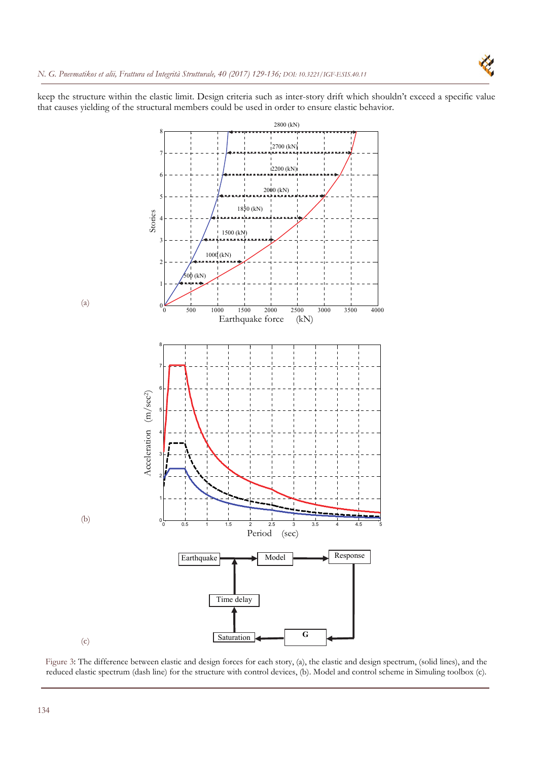

keep the structure within the elastic limit. Design criteria such as inter-story drift which shouldn't exceed a specific value that causes yielding of the structural members could be used in order to ensure elastic behavior.



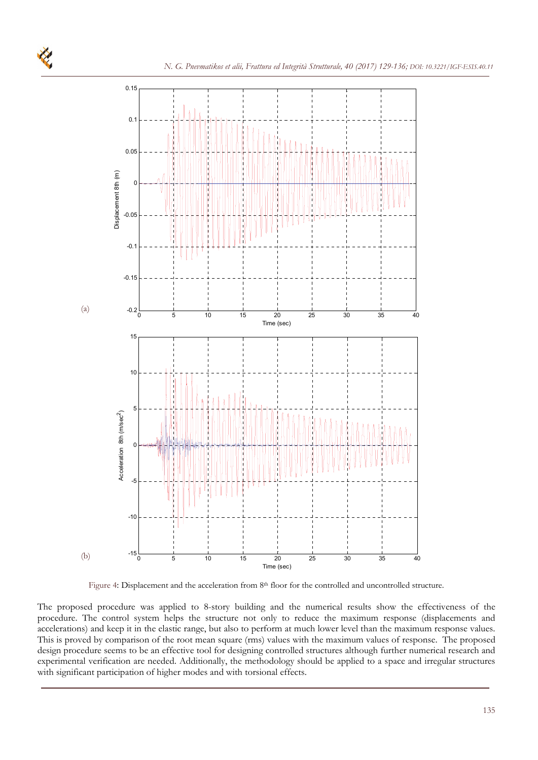

Figure 4: Displacement and the acceleration from 8<sup>th</sup> floor for the controlled and uncontrolled structure.

The proposed procedure was applied to 8-story building and the numerical results show the effectiveness of the procedure. The control system helps the structure not only to reduce the maximum response (displacements and accelerations) and keep it in the elastic range, but also to perform at much lower level than the maximum response values. This is proved by comparison of the root mean square (rms) values with the maximum values of response. The proposed design procedure seems to be an effective tool for designing controlled structures although further numerical research and experimental verification are needed. Additionally, the methodology should be applied to a space and irregular structures with significant participation of higher modes and with torsional effects.